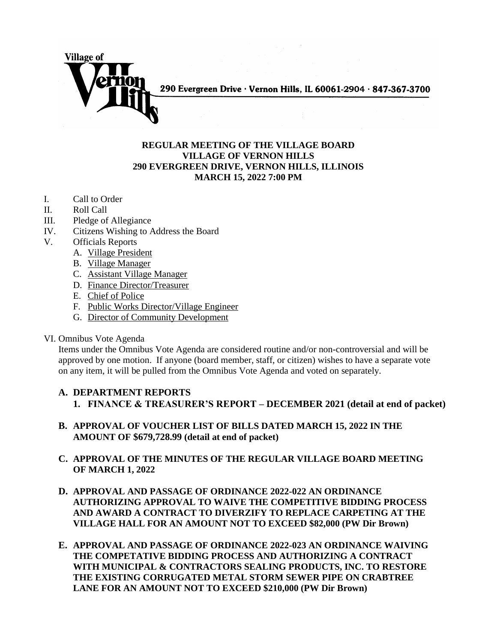

## **REGULAR MEETING OF THE VILLAGE BOARD VILLAGE OF VERNON HILLS 290 EVERGREEN DRIVE, VERNON HILLS, ILLINOIS MARCH 15, 2022 7:00 PM**

- I. Call to Order
- II. Roll Call
- III. Pledge of Allegiance
- IV. Citizens Wishing to Address the Board
- V. Officials Reports
	- A. Village President
	- B. Village Manager
	- C. Assistant Village Manager
	- D. Finance Director/Treasurer
	- E. Chief of Police
	- F. Public Works Director/Village Engineer
	- G. Director of Community Development

#### VI. Omnibus Vote Agenda

Items under the Omnibus Vote Agenda are considered routine and/or non-controversial and will be approved by one motion. If anyone (board member, staff, or citizen) wishes to have a separate vote on any item, it will be pulled from the Omnibus Vote Agenda and voted on separately.

# **A. DEPARTMENT REPORTS 1. FINANCE & TREASURER'S REPORT – DECEMBER 2021 (detail at end of packet)**

- **B. APPROVAL OF VOUCHER LIST OF BILLS DATED MARCH 15, 2022 IN THE AMOUNT OF \$679,728.99 (detail at end of packet)**
- **C. APPROVAL OF THE MINUTES OF THE REGULAR VILLAGE BOARD MEETING OF MARCH 1, 2022**
- **D. APPROVAL AND PASSAGE OF ORDINANCE 2022-022 AN ORDINANCE AUTHORIZING APPROVAL TO WAIVE THE COMPETITIVE BIDDING PROCESS AND AWARD A CONTRACT TO DIVERZIFY TO REPLACE CARPETING AT THE VILLAGE HALL FOR AN AMOUNT NOT TO EXCEED \$82,000 (PW Dir Brown)**
- **E. APPROVAL AND PASSAGE OF ORDINANCE 2022-023 AN ORDINANCE WAIVING THE COMPETATIVE BIDDING PROCESS AND AUTHORIZING A CONTRACT WITH MUNICIPAL & CONTRACTORS SEALING PRODUCTS, INC. TO RESTORE THE EXISTING CORRUGATED METAL STORM SEWER PIPE ON CRABTREE LANE FOR AN AMOUNT NOT TO EXCEED \$210,000 (PW Dir Brown)**